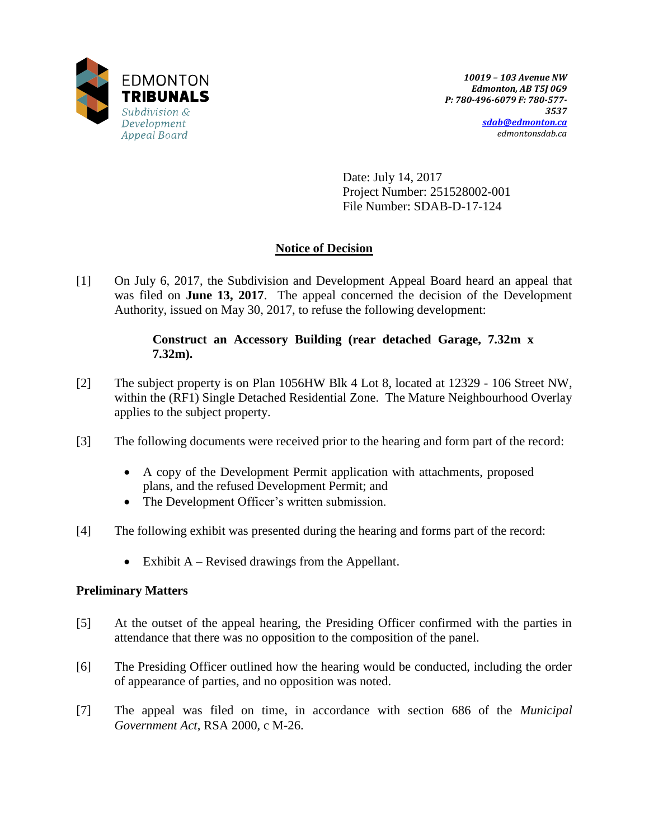

Date: July 14, 2017 Project Number: 251528002-001 File Number: SDAB-D-17-124

# **Notice of Decision**

[1] On July 6, 2017, the Subdivision and Development Appeal Board heard an appeal that was filed on **June 13, 2017**. The appeal concerned the decision of the Development Authority, issued on May 30, 2017, to refuse the following development:

## **Construct an Accessory Building (rear detached Garage, 7.32m x 7.32m).**

- [2] The subject property is on Plan 1056HW Blk 4 Lot 8, located at 12329 106 Street NW, within the (RF1) Single Detached Residential Zone. The Mature Neighbourhood Overlay applies to the subject property.
- [3] The following documents were received prior to the hearing and form part of the record:
	- A copy of the Development Permit application with attachments, proposed plans, and the refused Development Permit; and
	- The Development Officer's written submission.
- [4] The following exhibit was presented during the hearing and forms part of the record:
	- $\bullet$  Exhibit A Revised drawings from the Appellant.

## **Preliminary Matters**

- [5] At the outset of the appeal hearing, the Presiding Officer confirmed with the parties in attendance that there was no opposition to the composition of the panel.
- [6] The Presiding Officer outlined how the hearing would be conducted, including the order of appearance of parties, and no opposition was noted.
- [7] The appeal was filed on time, in accordance with section 686 of the *Municipal Government Act*, RSA 2000, c M-26.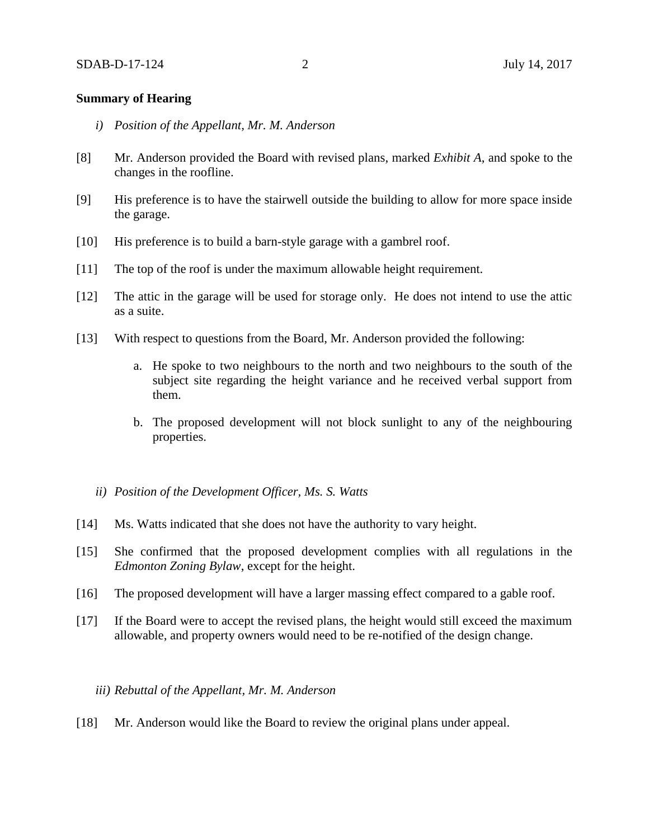#### **Summary of Hearing**

- *i) Position of the Appellant, Mr. M. Anderson*
- [8] Mr. Anderson provided the Board with revised plans, marked *Exhibit A*, and spoke to the changes in the roofline.
- [9] His preference is to have the stairwell outside the building to allow for more space inside the garage.
- [10] His preference is to build a barn-style garage with a gambrel roof.
- [11] The top of the roof is under the maximum allowable height requirement.
- [12] The attic in the garage will be used for storage only. He does not intend to use the attic as a suite.
- [13] With respect to questions from the Board, Mr. Anderson provided the following:
	- a. He spoke to two neighbours to the north and two neighbours to the south of the subject site regarding the height variance and he received verbal support from them.
	- b. The proposed development will not block sunlight to any of the neighbouring properties.
	- *ii) Position of the Development Officer, Ms. S. Watts*
- [14] Ms. Watts indicated that she does not have the authority to vary height.
- [15] She confirmed that the proposed development complies with all regulations in the *Edmonton Zoning Bylaw*, except for the height.
- [16] The proposed development will have a larger massing effect compared to a gable roof.
- [17] If the Board were to accept the revised plans, the height would still exceed the maximum allowable, and property owners would need to be re-notified of the design change.

#### *iii) Rebuttal of the Appellant, Mr. M. Anderson*

[18] Mr. Anderson would like the Board to review the original plans under appeal.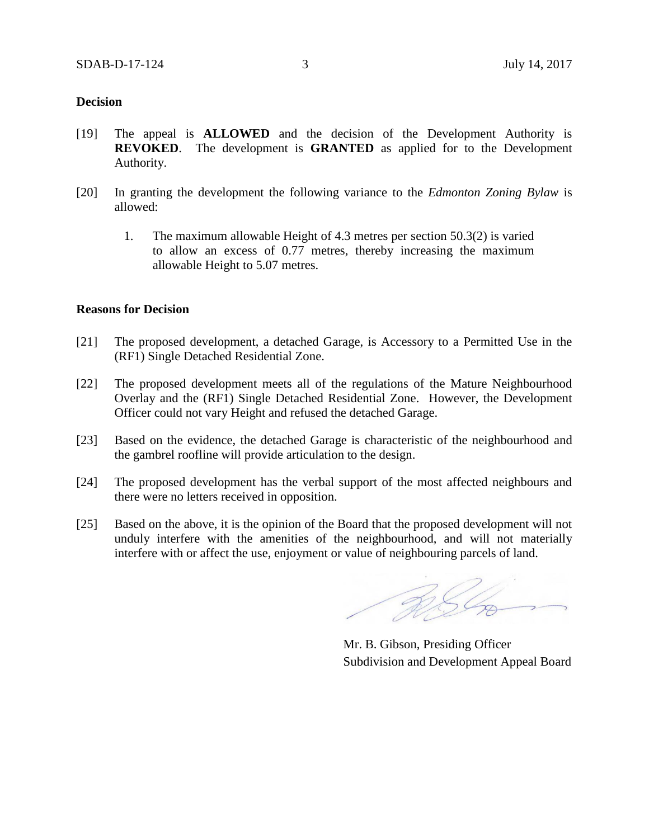#### **Decision**

- [19] The appeal is **ALLOWED** and the decision of the Development Authority is **REVOKED**. The development is **GRANTED** as applied for to the Development Authority.
- [20] In granting the development the following variance to the *Edmonton Zoning Bylaw* is allowed:
	- 1. The maximum allowable Height of 4.3 metres per section 50.3(2) is varied to allow an excess of 0.77 metres, thereby increasing the maximum allowable Height to 5.07 metres.

#### **Reasons for Decision**

- [21] The proposed development, a detached Garage, is Accessory to a Permitted Use in the (RF1) Single Detached Residential Zone.
- [22] The proposed development meets all of the regulations of the Mature Neighbourhood Overlay and the (RF1) Single Detached Residential Zone. However, the Development Officer could not vary Height and refused the detached Garage.
- [23] Based on the evidence, the detached Garage is characteristic of the neighbourhood and the gambrel roofline will provide articulation to the design.
- [24] The proposed development has the verbal support of the most affected neighbours and there were no letters received in opposition.
- [25] Based on the above, it is the opinion of the Board that the proposed development will not unduly interfere with the amenities of the neighbourhood, and will not materially interfere with or affect the use, enjoyment or value of neighbouring parcels of land.

RSL

Mr. B. Gibson, Presiding Officer Subdivision and Development Appeal Board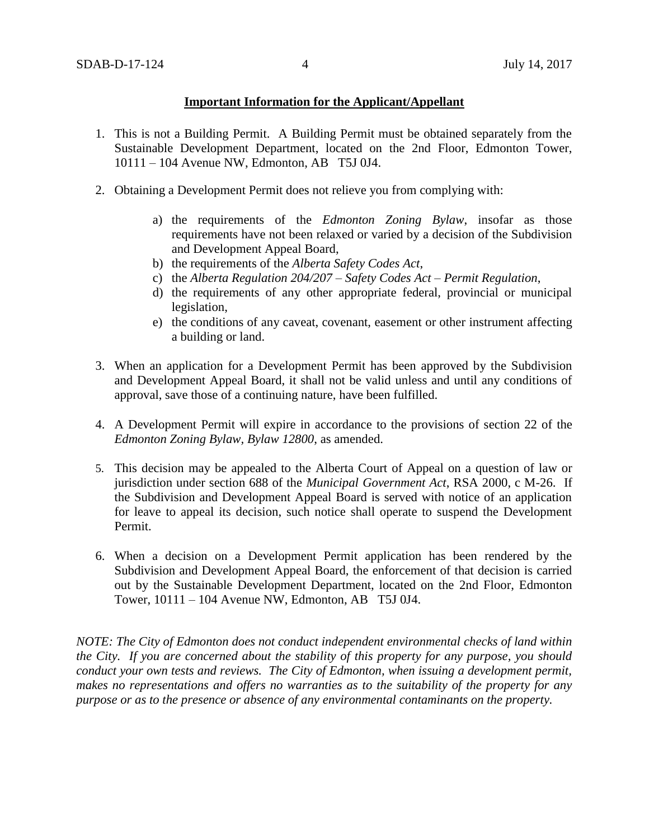### **Important Information for the Applicant/Appellant**

- 1. This is not a Building Permit. A Building Permit must be obtained separately from the Sustainable Development Department, located on the 2nd Floor, Edmonton Tower, 10111 – 104 Avenue NW, Edmonton, AB T5J 0J4.
- 2. Obtaining a Development Permit does not relieve you from complying with:
	- a) the requirements of the *Edmonton Zoning Bylaw*, insofar as those requirements have not been relaxed or varied by a decision of the Subdivision and Development Appeal Board,
	- b) the requirements of the *Alberta Safety Codes Act*,
	- c) the *Alberta Regulation 204/207 – Safety Codes Act – Permit Regulation*,
	- d) the requirements of any other appropriate federal, provincial or municipal legislation,
	- e) the conditions of any caveat, covenant, easement or other instrument affecting a building or land.
- 3. When an application for a Development Permit has been approved by the Subdivision and Development Appeal Board, it shall not be valid unless and until any conditions of approval, save those of a continuing nature, have been fulfilled.
- 4. A Development Permit will expire in accordance to the provisions of section 22 of the *Edmonton Zoning Bylaw, Bylaw 12800*, as amended.
- 5. This decision may be appealed to the Alberta Court of Appeal on a question of law or jurisdiction under section 688 of the *Municipal Government Act*, RSA 2000, c M-26. If the Subdivision and Development Appeal Board is served with notice of an application for leave to appeal its decision, such notice shall operate to suspend the Development Permit.
- 6. When a decision on a Development Permit application has been rendered by the Subdivision and Development Appeal Board, the enforcement of that decision is carried out by the Sustainable Development Department, located on the 2nd Floor, Edmonton Tower, 10111 – 104 Avenue NW, Edmonton, AB T5J 0J4.

*NOTE: The City of Edmonton does not conduct independent environmental checks of land within the City. If you are concerned about the stability of this property for any purpose, you should conduct your own tests and reviews. The City of Edmonton, when issuing a development permit, makes no representations and offers no warranties as to the suitability of the property for any purpose or as to the presence or absence of any environmental contaminants on the property.*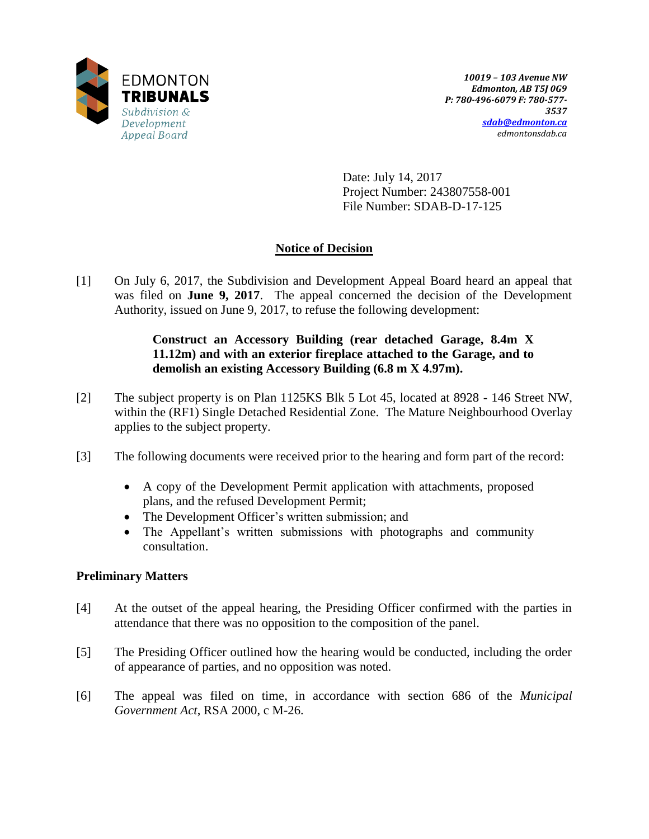

Date: July 14, 2017 Project Number: 243807558-001 File Number: SDAB-D-17-125

# **Notice of Decision**

[1] On July 6, 2017, the Subdivision and Development Appeal Board heard an appeal that was filed on **June 9, 2017**. The appeal concerned the decision of the Development Authority, issued on June 9, 2017, to refuse the following development:

## **Construct an Accessory Building (rear detached Garage, 8.4m X 11.12m) and with an exterior fireplace attached to the Garage, and to demolish an existing Accessory Building (6.8 m X 4.97m).**

- [2] The subject property is on Plan 1125KS Blk 5 Lot 45, located at 8928 146 Street NW, within the (RF1) Single Detached Residential Zone. The Mature Neighbourhood Overlay applies to the subject property.
- [3] The following documents were received prior to the hearing and form part of the record:
	- A copy of the Development Permit application with attachments, proposed plans, and the refused Development Permit;
	- The Development Officer's written submission; and
	- The Appellant's written submissions with photographs and community consultation.

### **Preliminary Matters**

- [4] At the outset of the appeal hearing, the Presiding Officer confirmed with the parties in attendance that there was no opposition to the composition of the panel.
- [5] The Presiding Officer outlined how the hearing would be conducted, including the order of appearance of parties, and no opposition was noted.
- [6] The appeal was filed on time, in accordance with section 686 of the *Municipal Government Act*, RSA 2000, c M-26.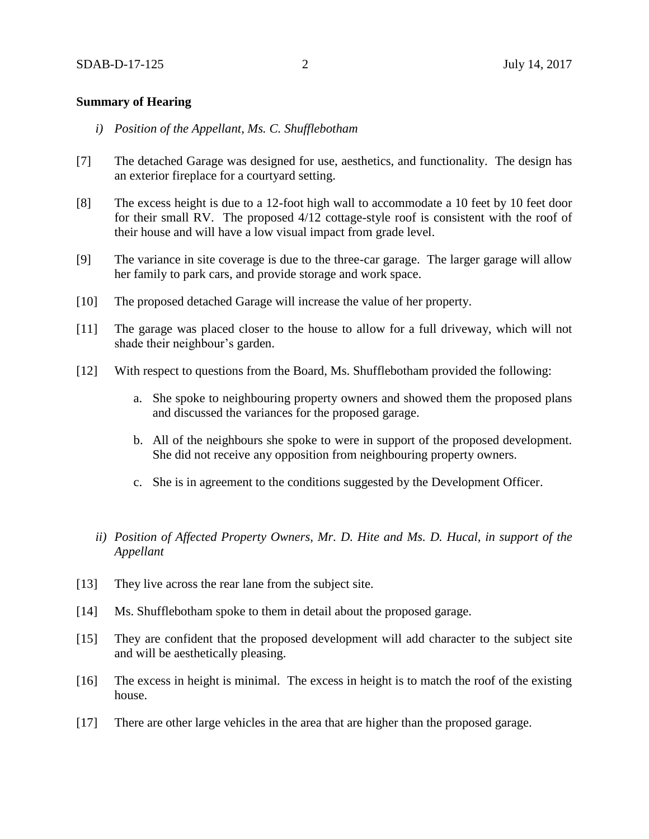#### **Summary of Hearing**

- *i) Position of the Appellant, Ms. C. Shufflebotham*
- [7] The detached Garage was designed for use, aesthetics, and functionality. The design has an exterior fireplace for a courtyard setting.
- [8] The excess height is due to a 12-foot high wall to accommodate a 10 feet by 10 feet door for their small RV. The proposed 4/12 cottage-style roof is consistent with the roof of their house and will have a low visual impact from grade level.
- [9] The variance in site coverage is due to the three-car garage. The larger garage will allow her family to park cars, and provide storage and work space.
- [10] The proposed detached Garage will increase the value of her property.
- [11] The garage was placed closer to the house to allow for a full driveway, which will not shade their neighbour's garden.
- [12] With respect to questions from the Board, Ms. Shufflebotham provided the following:
	- a. She spoke to neighbouring property owners and showed them the proposed plans and discussed the variances for the proposed garage.
	- b. All of the neighbours she spoke to were in support of the proposed development. She did not receive any opposition from neighbouring property owners.
	- c. She is in agreement to the conditions suggested by the Development Officer.
	- *ii) Position of Affected Property Owners, Mr. D. Hite and Ms. D. Hucal, in support of the Appellant*
- [13] They live across the rear lane from the subject site.
- [14] Ms. Shufflebotham spoke to them in detail about the proposed garage.
- [15] They are confident that the proposed development will add character to the subject site and will be aesthetically pleasing.
- [16] The excess in height is minimal. The excess in height is to match the roof of the existing house.
- [17] There are other large vehicles in the area that are higher than the proposed garage.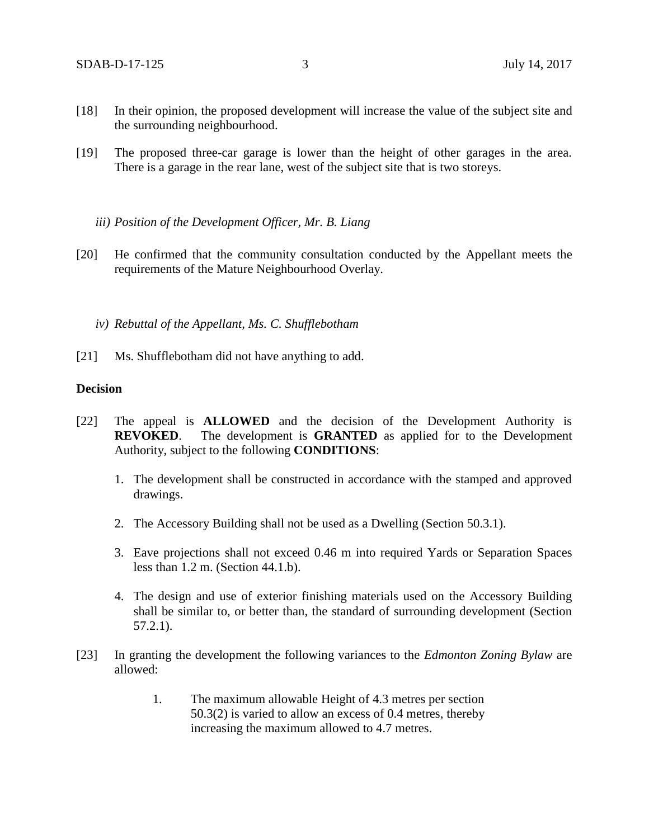- [18] In their opinion, the proposed development will increase the value of the subject site and the surrounding neighbourhood.
- [19] The proposed three-car garage is lower than the height of other garages in the area. There is a garage in the rear lane, west of the subject site that is two storeys.
	- *iii) Position of the Development Officer, Mr. B. Liang*
- [20] He confirmed that the community consultation conducted by the Appellant meets the requirements of the Mature Neighbourhood Overlay.
	- *iv) Rebuttal of the Appellant, Ms. C. Shufflebotham*
- [21] Ms. Shufflebotham did not have anything to add.

#### **Decision**

- [22] The appeal is **ALLOWED** and the decision of the Development Authority is **REVOKED**. The development is **GRANTED** as applied for to the Development Authority, subject to the following **CONDITIONS**:
	- 1. The development shall be constructed in accordance with the stamped and approved drawings.
	- 2. The Accessory Building shall not be used as a Dwelling (Section 50.3.1).
	- 3. Eave projections shall not exceed 0.46 m into required Yards or Separation Spaces less than 1.2 m. (Section 44.1.b).
	- 4. The design and use of exterior finishing materials used on the Accessory Building shall be similar to, or better than, the standard of surrounding development (Section 57.2.1).
- [23] In granting the development the following variances to the *Edmonton Zoning Bylaw* are allowed:
	- 1. The maximum allowable Height of 4.3 metres per section 50.3(2) is varied to allow an excess of 0.4 metres, thereby increasing the maximum allowed to 4.7 metres.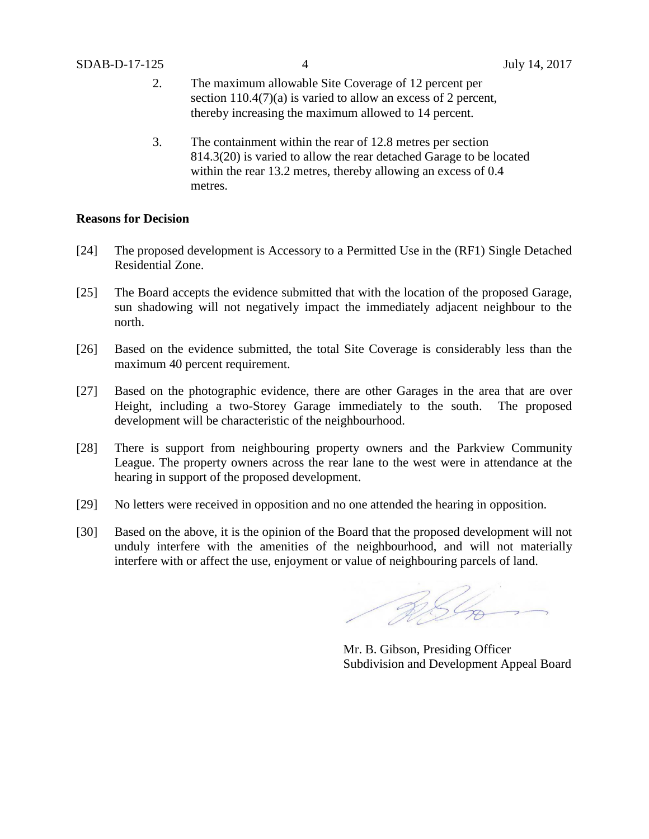- 2. The maximum allowable Site Coverage of 12 percent per section 110.4(7)(a) is varied to allow an excess of 2 percent, thereby increasing the maximum allowed to 14 percent.
- 3. The containment within the rear of 12.8 metres per section 814.3(20) is varied to allow the rear detached Garage to be located within the rear 13.2 metres, thereby allowing an excess of 0.4 metres.

#### **Reasons for Decision**

- [24] The proposed development is Accessory to a Permitted Use in the (RF1) Single Detached Residential Zone.
- [25] The Board accepts the evidence submitted that with the location of the proposed Garage, sun shadowing will not negatively impact the immediately adjacent neighbour to the north.
- [26] Based on the evidence submitted, the total Site Coverage is considerably less than the maximum 40 percent requirement.
- [27] Based on the photographic evidence, there are other Garages in the area that are over Height, including a two-Storey Garage immediately to the south. The proposed development will be characteristic of the neighbourhood.
- [28] There is support from neighbouring property owners and the Parkview Community League. The property owners across the rear lane to the west were in attendance at the hearing in support of the proposed development.
- [29] No letters were received in opposition and no one attended the hearing in opposition.
- [30] Based on the above, it is the opinion of the Board that the proposed development will not unduly interfere with the amenities of the neighbourhood, and will not materially interfere with or affect the use, enjoyment or value of neighbouring parcels of land.

RIG

Mr. B. Gibson, Presiding Officer Subdivision and Development Appeal Board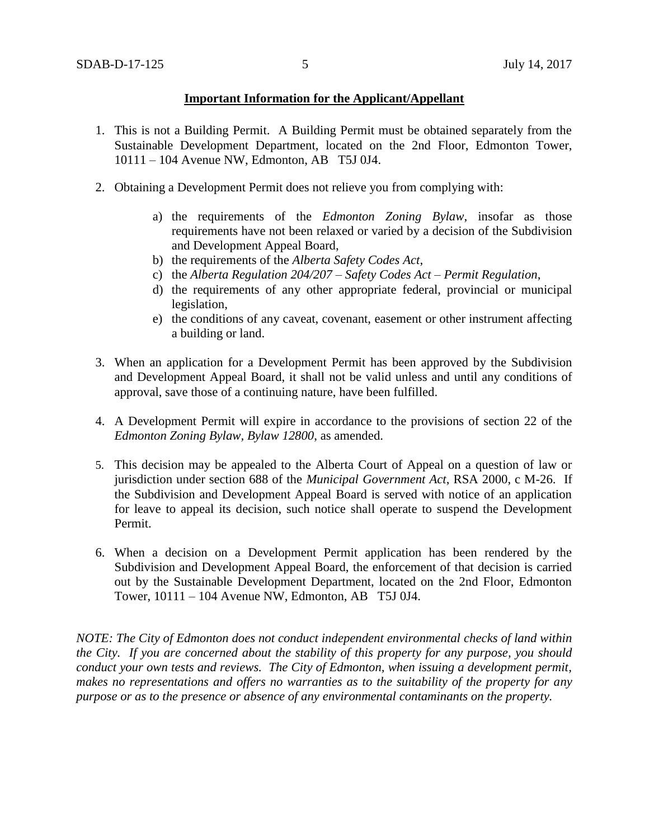### **Important Information for the Applicant/Appellant**

- 1. This is not a Building Permit. A Building Permit must be obtained separately from the Sustainable Development Department, located on the 2nd Floor, Edmonton Tower, 10111 – 104 Avenue NW, Edmonton, AB T5J 0J4.
- 2. Obtaining a Development Permit does not relieve you from complying with:
	- a) the requirements of the *Edmonton Zoning Bylaw*, insofar as those requirements have not been relaxed or varied by a decision of the Subdivision and Development Appeal Board,
	- b) the requirements of the *Alberta Safety Codes Act*,
	- c) the *Alberta Regulation 204/207 – Safety Codes Act – Permit Regulation*,
	- d) the requirements of any other appropriate federal, provincial or municipal legislation,
	- e) the conditions of any caveat, covenant, easement or other instrument affecting a building or land.
- 3. When an application for a Development Permit has been approved by the Subdivision and Development Appeal Board, it shall not be valid unless and until any conditions of approval, save those of a continuing nature, have been fulfilled.
- 4. A Development Permit will expire in accordance to the provisions of section 22 of the *Edmonton Zoning Bylaw, Bylaw 12800*, as amended.
- 5. This decision may be appealed to the Alberta Court of Appeal on a question of law or jurisdiction under section 688 of the *Municipal Government Act*, RSA 2000, c M-26. If the Subdivision and Development Appeal Board is served with notice of an application for leave to appeal its decision, such notice shall operate to suspend the Development Permit.
- 6. When a decision on a Development Permit application has been rendered by the Subdivision and Development Appeal Board, the enforcement of that decision is carried out by the Sustainable Development Department, located on the 2nd Floor, Edmonton Tower, 10111 – 104 Avenue NW, Edmonton, AB T5J 0J4.

*NOTE: The City of Edmonton does not conduct independent environmental checks of land within the City. If you are concerned about the stability of this property for any purpose, you should conduct your own tests and reviews. The City of Edmonton, when issuing a development permit, makes no representations and offers no warranties as to the suitability of the property for any purpose or as to the presence or absence of any environmental contaminants on the property.*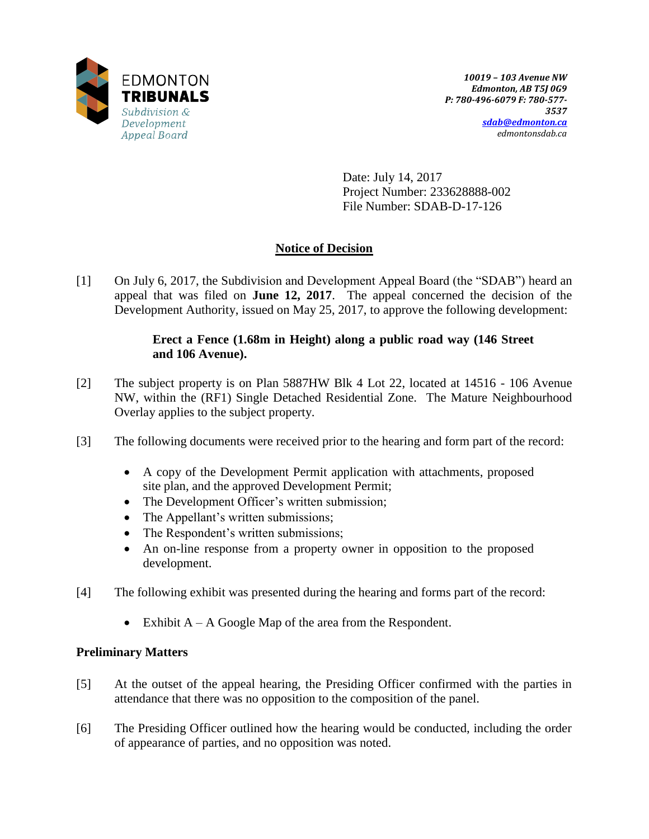

Date: July 14, 2017 Project Number: 233628888-002 File Number: SDAB-D-17-126

# **Notice of Decision**

[1] On July 6, 2017, the Subdivision and Development Appeal Board (the "SDAB") heard an appeal that was filed on **June 12, 2017**. The appeal concerned the decision of the Development Authority, issued on May 25, 2017, to approve the following development:

## **Erect a Fence (1.68m in Height) along a public road way (146 Street and 106 Avenue).**

- [2] The subject property is on Plan 5887HW Blk 4 Lot 22, located at 14516 106 Avenue NW, within the (RF1) Single Detached Residential Zone. The Mature Neighbourhood Overlay applies to the subject property.
- [3] The following documents were received prior to the hearing and form part of the record:
	- A copy of the Development Permit application with attachments, proposed site plan, and the approved Development Permit;
	- The Development Officer's written submission;
	- The Appellant's written submissions;
	- The Respondent's written submissions;
	- An on-line response from a property owner in opposition to the proposed development.
- [4] The following exhibit was presented during the hearing and forms part of the record:
	- Exhibit A A Google Map of the area from the Respondent.

## **Preliminary Matters**

- [5] At the outset of the appeal hearing, the Presiding Officer confirmed with the parties in attendance that there was no opposition to the composition of the panel.
- [6] The Presiding Officer outlined how the hearing would be conducted, including the order of appearance of parties, and no opposition was noted.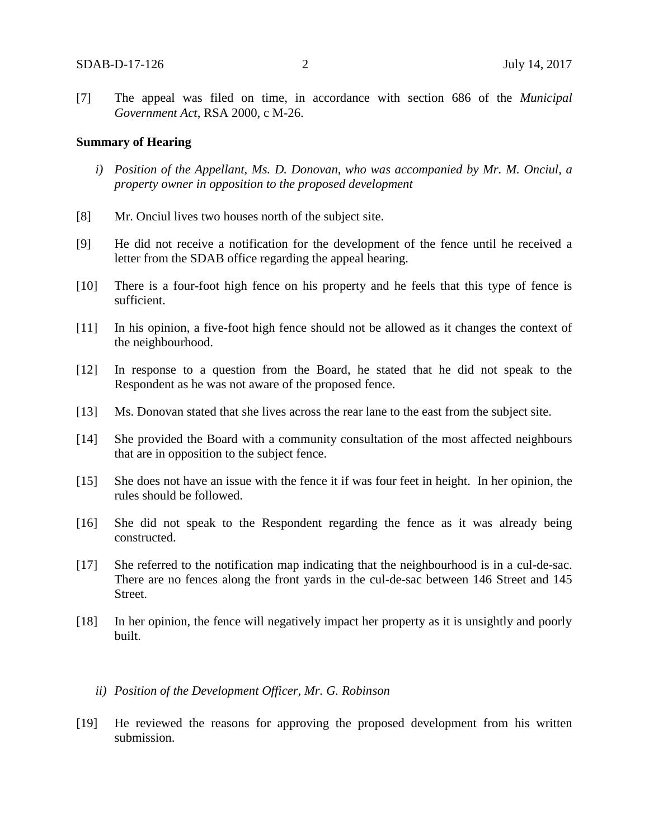[7] The appeal was filed on time, in accordance with section 686 of the *Municipal Government Act*, RSA 2000, c M-26.

#### **Summary of Hearing**

- *i) Position of the Appellant, Ms. D. Donovan, who was accompanied by Mr. M. Onciul, a property owner in opposition to the proposed development*
- [8] Mr. Onciul lives two houses north of the subject site.
- [9] He did not receive a notification for the development of the fence until he received a letter from the SDAB office regarding the appeal hearing.
- [10] There is a four-foot high fence on his property and he feels that this type of fence is sufficient.
- [11] In his opinion, a five-foot high fence should not be allowed as it changes the context of the neighbourhood.
- [12] In response to a question from the Board, he stated that he did not speak to the Respondent as he was not aware of the proposed fence.
- [13] Ms. Donovan stated that she lives across the rear lane to the east from the subject site.
- [14] She provided the Board with a community consultation of the most affected neighbours that are in opposition to the subject fence.
- [15] She does not have an issue with the fence it if was four feet in height. In her opinion, the rules should be followed.
- [16] She did not speak to the Respondent regarding the fence as it was already being constructed.
- [17] She referred to the notification map indicating that the neighbourhood is in a cul-de-sac. There are no fences along the front yards in the cul-de-sac between 146 Street and 145 Street.
- [18] In her opinion, the fence will negatively impact her property as it is unsightly and poorly built.
	- *ii) Position of the Development Officer, Mr. G. Robinson*
- [19] He reviewed the reasons for approving the proposed development from his written submission.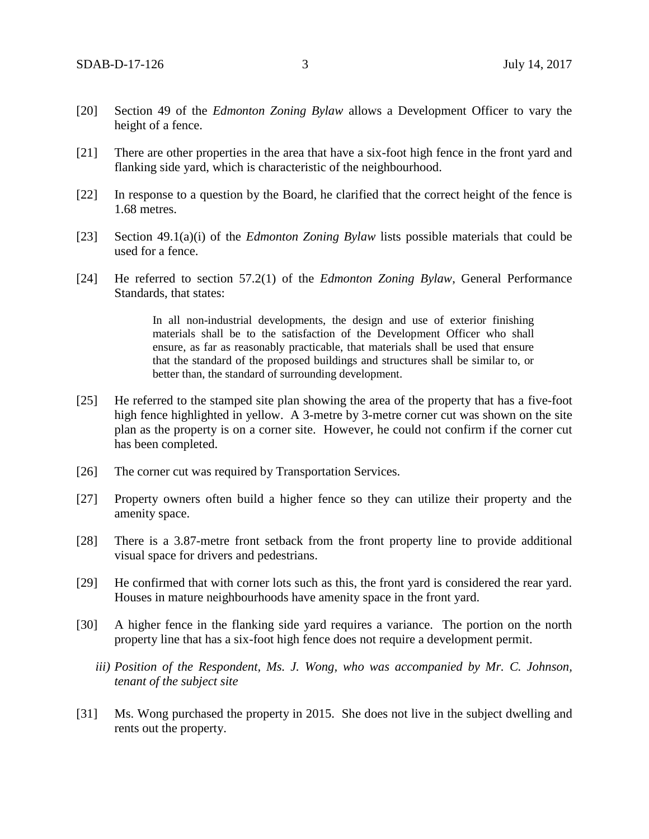- [20] Section 49 of the *Edmonton Zoning Bylaw* allows a Development Officer to vary the height of a fence.
- [21] There are other properties in the area that have a six-foot high fence in the front yard and flanking side yard, which is characteristic of the neighbourhood.
- [22] In response to a question by the Board, he clarified that the correct height of the fence is 1.68 metres.
- [23] Section 49.1(a)(i) of the *Edmonton Zoning Bylaw* lists possible materials that could be used for a fence.
- [24] He referred to section 57.2(1) of the *Edmonton Zoning Bylaw*, General Performance Standards, that states:

In all non-industrial developments, the design and use of exterior finishing materials shall be to the satisfaction of the Development Officer who shall ensure, as far as reasonably practicable, that materials shall be used that ensure that the standard of the proposed buildings and structures shall be similar to, or better than, the standard of surrounding development.

- [25] He referred to the stamped site plan showing the area of the property that has a five-foot high fence highlighted in yellow. A 3-metre by 3-metre corner cut was shown on the site plan as the property is on a corner site. However, he could not confirm if the corner cut has been completed.
- [26] The corner cut was required by Transportation Services.
- [27] Property owners often build a higher fence so they can utilize their property and the amenity space.
- [28] There is a 3.87-metre front setback from the front property line to provide additional visual space for drivers and pedestrians.
- [29] He confirmed that with corner lots such as this, the front yard is considered the rear yard. Houses in mature neighbourhoods have amenity space in the front yard.
- [30] A higher fence in the flanking side yard requires a variance. The portion on the north property line that has a six-foot high fence does not require a development permit.
	- *iii) Position of the Respondent, Ms. J. Wong, who was accompanied by Mr. C. Johnson, tenant of the subject site*
- [31] Ms. Wong purchased the property in 2015. She does not live in the subject dwelling and rents out the property.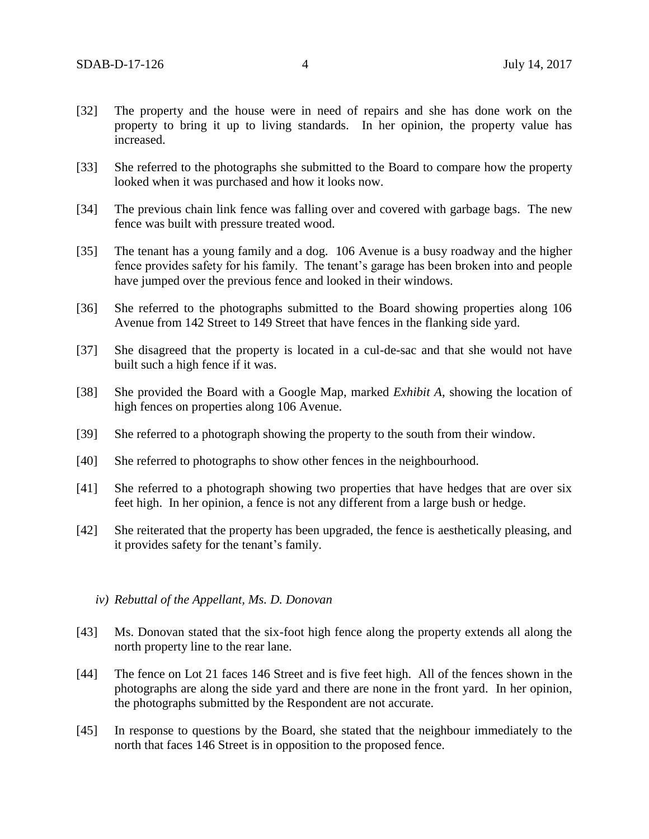- [32] The property and the house were in need of repairs and she has done work on the property to bring it up to living standards. In her opinion, the property value has increased.
- [33] She referred to the photographs she submitted to the Board to compare how the property looked when it was purchased and how it looks now.
- [34] The previous chain link fence was falling over and covered with garbage bags. The new fence was built with pressure treated wood.
- [35] The tenant has a young family and a dog. 106 Avenue is a busy roadway and the higher fence provides safety for his family. The tenant's garage has been broken into and people have jumped over the previous fence and looked in their windows.
- [36] She referred to the photographs submitted to the Board showing properties along 106 Avenue from 142 Street to 149 Street that have fences in the flanking side yard.
- [37] She disagreed that the property is located in a cul-de-sac and that she would not have built such a high fence if it was.
- [38] She provided the Board with a Google Map, marked *Exhibit A*, showing the location of high fences on properties along 106 Avenue.
- [39] She referred to a photograph showing the property to the south from their window.
- [40] She referred to photographs to show other fences in the neighbourhood.
- [41] She referred to a photograph showing two properties that have hedges that are over six feet high. In her opinion, a fence is not any different from a large bush or hedge.
- [42] She reiterated that the property has been upgraded, the fence is aesthetically pleasing, and it provides safety for the tenant's family.
	- *iv) Rebuttal of the Appellant, Ms. D. Donovan*
- [43] Ms. Donovan stated that the six-foot high fence along the property extends all along the north property line to the rear lane.
- [44] The fence on Lot 21 faces 146 Street and is five feet high. All of the fences shown in the photographs are along the side yard and there are none in the front yard. In her opinion, the photographs submitted by the Respondent are not accurate.
- [45] In response to questions by the Board, she stated that the neighbour immediately to the north that faces 146 Street is in opposition to the proposed fence.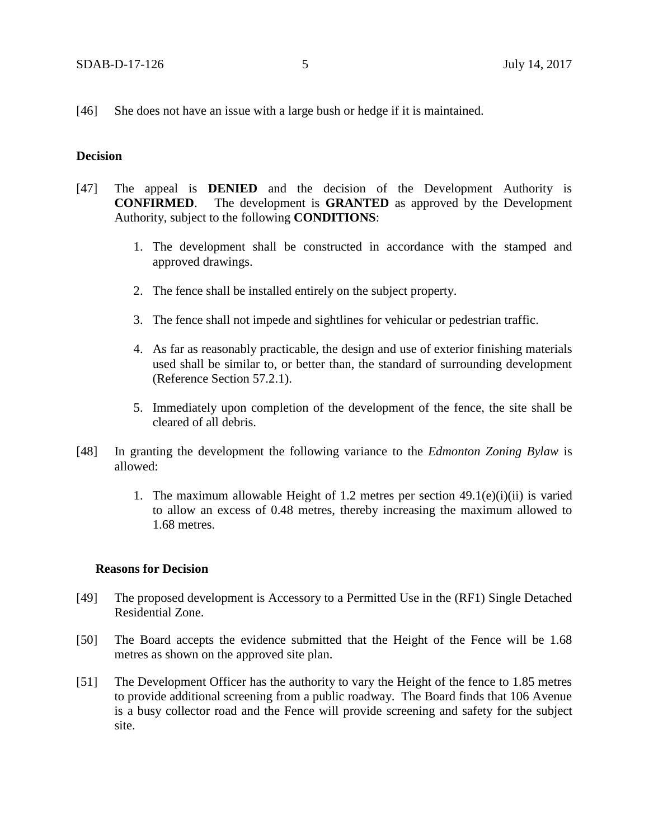[46] She does not have an issue with a large bush or hedge if it is maintained.

#### **Decision**

- [47] The appeal is **DENIED** and the decision of the Development Authority is **CONFIRMED**. The development is **GRANTED** as approved by the Development Authority, subject to the following **CONDITIONS**:
	- 1. The development shall be constructed in accordance with the stamped and approved drawings.
	- 2. The fence shall be installed entirely on the subject property.
	- 3. The fence shall not impede and sightlines for vehicular or pedestrian traffic.
	- 4. As far as reasonably practicable, the design and use of exterior finishing materials used shall be similar to, or better than, the standard of surrounding development (Reference Section 57.2.1).
	- 5. Immediately upon completion of the development of the fence, the site shall be cleared of all debris.
- [48] In granting the development the following variance to the *Edmonton Zoning Bylaw* is allowed:
	- 1. The maximum allowable Height of 1.2 metres per section  $49.1(e)(i)(ii)$  is varied to allow an excess of 0.48 metres, thereby increasing the maximum allowed to 1.68 metres.

#### **Reasons for Decision**

- [49] The proposed development is Accessory to a Permitted Use in the (RF1) Single Detached Residential Zone.
- [50] The Board accepts the evidence submitted that the Height of the Fence will be 1.68 metres as shown on the approved site plan.
- [51] The Development Officer has the authority to vary the Height of the fence to 1.85 metres to provide additional screening from a public roadway. The Board finds that 106 Avenue is a busy collector road and the Fence will provide screening and safety for the subject site.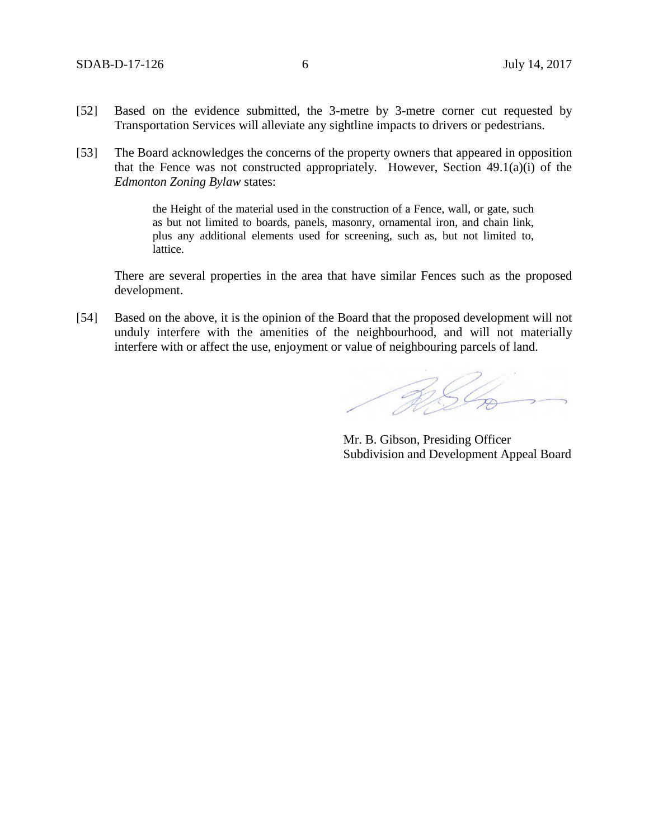- [52] Based on the evidence submitted, the 3-metre by 3-metre corner cut requested by Transportation Services will alleviate any sightline impacts to drivers or pedestrians.
- [53] The Board acknowledges the concerns of the property owners that appeared in opposition that the Fence was not constructed appropriately. However, Section 49.1(a)(i) of the *Edmonton Zoning Bylaw* states:

the Height of the material used in the construction of a Fence, wall, or gate, such as but not limited to boards, panels, masonry, ornamental iron, and chain link, plus any additional elements used for screening, such as, but not limited to, lattice.

There are several properties in the area that have similar Fences such as the proposed development.

[54] Based on the above, it is the opinion of the Board that the proposed development will not unduly interfere with the amenities of the neighbourhood, and will not materially interfere with or affect the use, enjoyment or value of neighbouring parcels of land.

RSL

Mr. B. Gibson, Presiding Officer Subdivision and Development Appeal Board